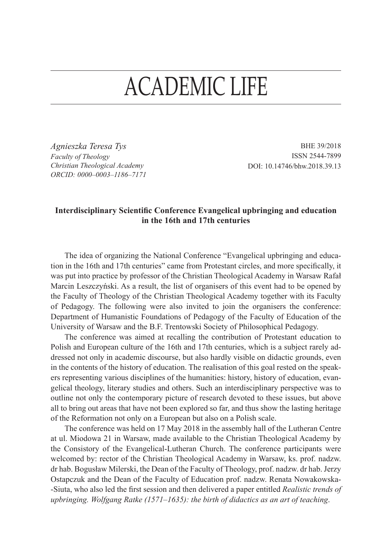## ACADEMIC LIFE

*Agnieszka Teresa Tys Faculty of Theology Christian Theological Academy ORCID: 0000–0003–1186–7171*

BHE 39/2018 ISSN 2544-7899 DOI: 10.14746/bhw.2018.39.13

## **Interdisciplinary Scientific Conference Evangelical upbringing and education in the 16th and 17th centuries**

The idea of organizing the National Conference "Evangelical upbringing and education in the 16th and 17th centuries" came from Protestant circles, and more specifically, it was put into practice by professor of the Christian Theological Academy in Warsaw Rafał Marcin Leszczyński. As a result, the list of organisers of this event had to be opened by the Faculty of Theology of the Christian Theological Academy together with its Faculty of Pedagogy. The following were also invited to join the organisers the conference: Department of Humanistic Foundations of Pedagogy of the Faculty of Education of the University of Warsaw and the B.F. Trentowski Society of Philosophical Pedagogy.

The conference was aimed at recalling the contribution of Protestant education to Polish and European culture of the 16th and 17th centuries, which is a subject rarely addressed not only in academic discourse, but also hardly visible on didactic grounds, even in the contents of the history of education. The realisation of this goal rested on the speakers representing various disciplines of the humanities: history, history of education, evangelical theology, literary studies and others. Such an interdisciplinary perspective was to outline not only the contemporary picture of research devoted to these issues, but above all to bring out areas that have not been explored so far, and thus show the lasting heritage of the Reformation not only on a European but also on a Polish scale.

The conference was held on 17 May 2018 in the assembly hall of the Lutheran Centre at ul. Miodowa 21 in Warsaw, made available to the Christian Theological Academy by the Consistory of the Evangelical-Lutheran Church. The conference participants were welcomed by: rector of the Christian Theological Academy in Warsaw, ks. prof. nadzw. dr hab. Bogusław Milerski, the Dean of the Faculty of Theology, prof. nadzw. dr hab. Jerzy Ostapczuk and the Dean of the Faculty of Education prof. nadzw. Renata Nowakowska- -Siuta, who also led the first session and then delivered a paper entitled *Realistic trends of upbringing. Wolfgang Ratke (1571–1635): the birth of didactics as an art of teaching*.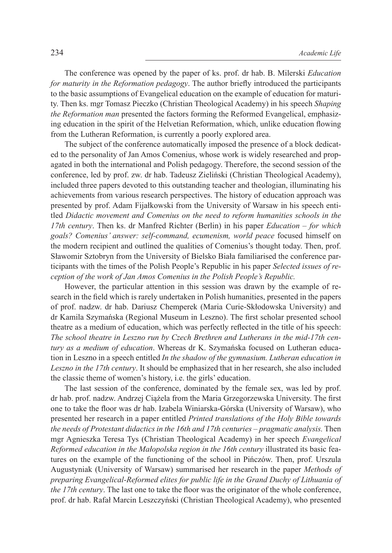The conference was opened by the paper of ks. prof. dr hab. B. Milerski *Education for maturity in the Reformation pedagogy*. The author briefly introduced the participants to the basic assumptions of Evangelical education on the example of education for maturity. Then ks. mgr Tomasz Pieczko (Christian Theological Academy) in his speech *Shaping the Reformation man* presented the factors forming the Reformed Evangelical, emphasizing education in the spirit of the Helvetian Reformation, which, unlike education flowing from the Lutheran Reformation, is currently a poorly explored area.

The subject of the conference automatically imposed the presence of a block dedicated to the personality of Jan Amos Comenius, whose work is widely researched and propagated in both the international and Polish pedagogy. Therefore, the second session of the conference, led by prof. zw. dr hab. Tadeusz Zieliński (Christian Theological Academy), included three papers devoted to this outstanding teacher and theologian, illuminating his achievements from various research perspectives. The history of education approach was presented by prof. Adam Fijałkowski from the University of Warsaw in his speech entitled *Didactic movement and Comenius on the need to reform humanities schools in the 17th century*. Then ks. dr Manfred Richter (Berlin) in his paper *Education – for which goals? Comenius' answer: self-command, ecumenism, world peace* focused himself on the modern recipient and outlined the qualities of Comenius's thought today. Then, prof. Sławomir Sztobryn from the University of Bielsko Biała familiarised the conference participants with the times of the Polish People's Republic in his paper *Selected issues of reception of the work of Jan Amos Comenius in the Polish People's Republic.*

However, the particular attention in this session was drawn by the example of research in the field which is rarely undertaken in Polish humanities, presented in the papers of prof. nadzw. dr hab. Dariusz Chemperek (Maria Curie-Skłodowska University) and dr Kamila Szymańska (Regional Museum in Leszno). The first scholar presented school theatre as a medium of education, which was perfectly reflected in the title of his speech: *The school theatre in Leszno run by Czech Brethren and Lutherans in the mid-17th century as a medium of education*. Whereas dr K. Szymańska focused on Lutheran education in Leszno in a speech entitled *In the shadow of the gymnasium. Lutheran education in Leszno in the 17th century*. It should be emphasized that in her research, she also included the classic theme of women's history, i.e. the girls' education.

The last session of the conference, dominated by the female sex, was led by prof. dr hab. prof. nadzw. Andrzej Ciążela from the Maria Grzegorzewska University. The first one to take the floor was dr hab. Izabela Winiarska-Górska (University of Warsaw), who presented her research in a paper entitled *Printed translations of the Holy Bible towards the needs of Protestant didactics in the 16th and 17th centuries – pragmatic analysis.* Then mgr Agnieszka Teresa Tys (Christian Theological Academy) in her speech *Evangelical Reformed education in the Małopolska region in the 16th century* illustrated its basic features on the example of the functioning of the school in Pińczów. Then, prof. Urszula Augustyniak (University of Warsaw) summarised her research in the paper *Methods of preparing Evangelical-Reformed elites for public life in the Grand Duchy of Lithuania of the 17th century*. The last one to take the floor was the originator of the whole conference, prof. dr hab. Rafał Marcin Leszczyński (Christian Theological Academy), who presented